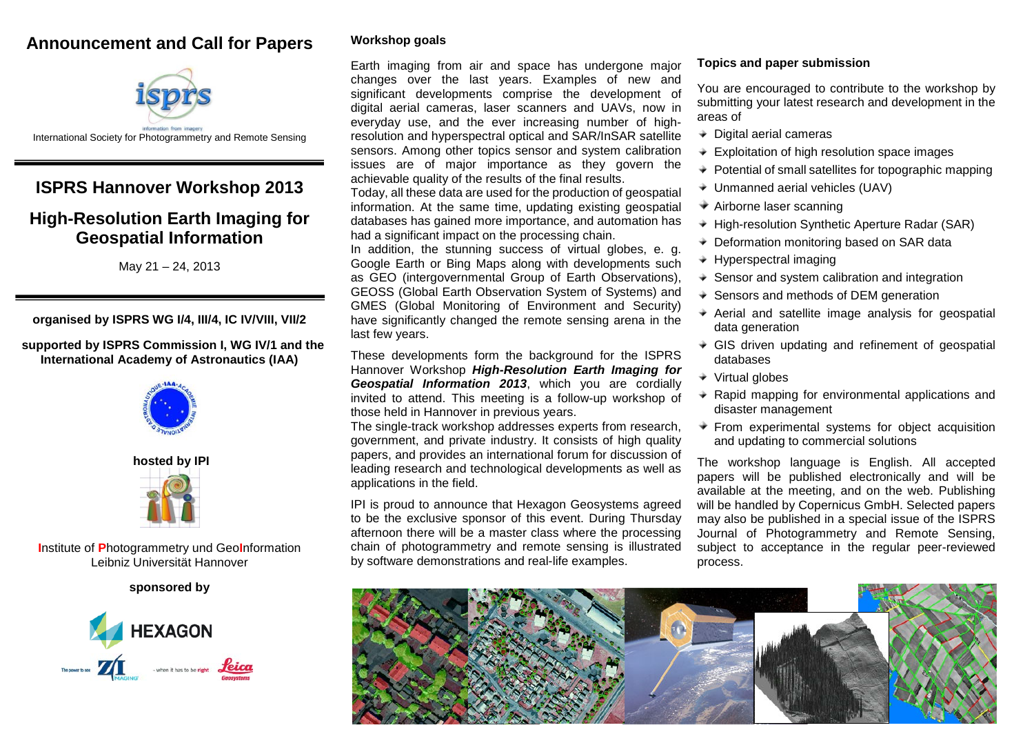# **Announcement and Call for Papers**



## **ISPRS Hannover Workshop 2013**

## **High-Resolution Earth Imaging for Geospatial Information**

May 21 – 24, 2013

**organised by ISPRS WG I/4, III/4, IC IV/VIII, VII/2**

 **supported by ISPRS Commission I, WG IV/1 and the International Academy of Astronautics (IAA)**



#### **hosted by IPI**



**I**nstitute of **P**hotogrammetry und Geo**I**nformation Leibniz Universität Hannover

## **sponsored by**



## **Workshop goals**

Earth imaging from air and space has undergone major changes over the last years. Examples of new and significant developments comprise the development of digital aerial cameras, laser scanners and UAVs, now in everyday use, and the ever increasing number of highresolution and hyperspectral optical and SAR/InSAR satellite sensors. Among other topics sensor and system calibration issues are of major importance as they govern the achievable quality of the results of the final results.

Today, all these data are used for the production of geospatial information. At the same time, updating existing geospatial databases has gained more importance, and automation has had a significant impact on the processing chain.

In addition, the stunning success of virtual globes, e. g. Google Earth or Bing Maps along with developments such as GEO (intergovernmental Group of Earth Observations), GEOSS (Global Earth Observation System of Systems) and GMES (Global Monitoring of Environment and Security) have significantly changed the remote sensing arena in the last few years.

These developments form the background for the ISPRS Hannover Workshop *High-Resolution Earth Imaging for Geospatial Information 2013*, which you are cordially invited to attend. This meeting is a follow-up workshop of those held in Hannover in previous years.

The single-track workshop addresses experts from research, government, and private industry. It consists of high quality papers, and provides an international forum for discussion of leading research and technological developments as well as applications in the field.

IPI is proud to announce that Hexagon Geosystems agreed to be the exclusive sponsor of this event. During Thursday afternoon there will be a master class where the processing chain of photogrammetry and remote sensing is illustrated by software demonstrations and real-life examples.

### **Topics and paper submission**

You are encouraged to contribute to the workshop by submitting your latest research and development in the areas of

- $\triangleq$  Digital aerial cameras
- Exploitation of high resolution space images
- $\triangleq$  Potential of small satellites for topographic mapping
- Unmanned aerial vehicles (UAV)
- Airborne laser scanning
- ◆ High-resolution Synthetic Aperture Radar (SAR)
- ◆ Deformation monitoring based on SAR data
- Hyperspectral imaging
- $\triangleleft$  Sensor and system calibration and integration
- ♦ Sensors and methods of DEM generation
- $\triangle$  Aerial and satellite image analysis for geospatial data generation
- GIS driven updating and refinement of geospatial databases
- $\triangleq$  Virtual globes
- $\triangle$  Rapid mapping for environmental applications and disaster management
- $\div$  From experimental systems for object acquisition and updating to commercial solutions

The workshop language is English. All accepted papers will be published electronically and will be available at the meeting, and on the web. Publishing will be handled by Copernicus GmbH. Selected papers may also be published in a special issue of the ISPRS Journal of Photogrammetry and Remote Sensing, subject to acceptance in the regular peer-reviewed process.